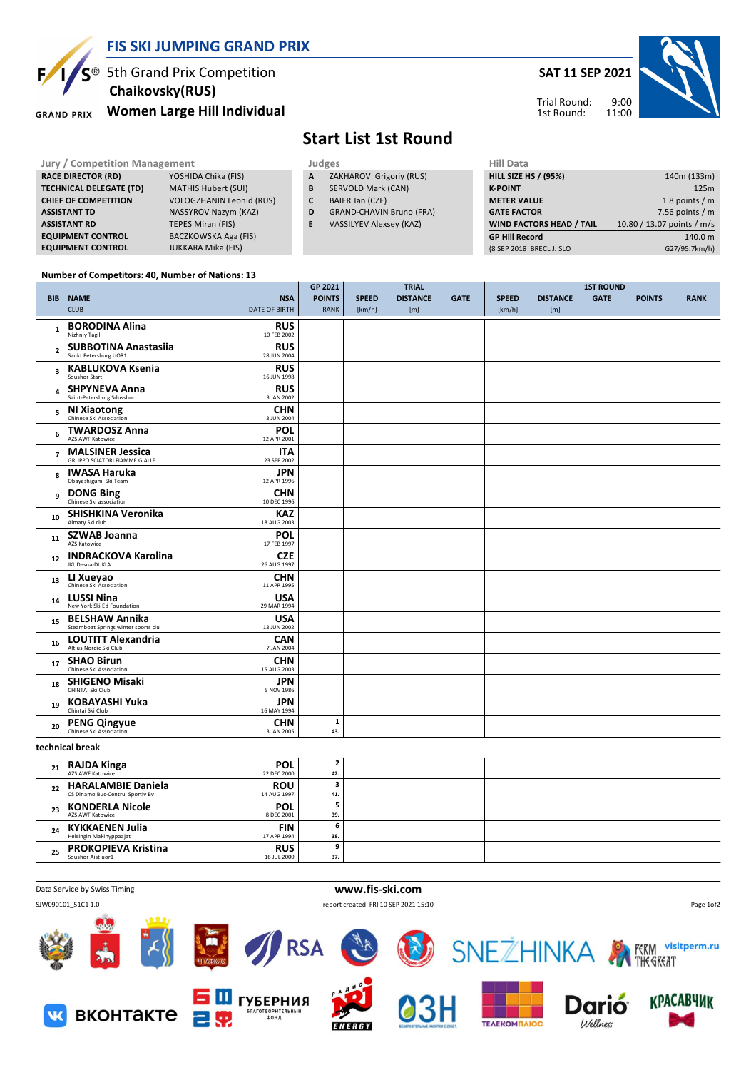

## **FIS SKI JUMPING GRAND PRIX**

<sup>®</sup> 5th Grand Prix Competition  **Chaikovsky(RUS)**

**Women Large Hill Individual GRAND PRIX** 

## **Start List 1st Round**

**Jury / Competition Management Judges Hill Data**<br> **RACE DIRECTOR (RD)** YOSHIDA Chika (FIS) **A** ZAKHAROV Grigoriy (RUS) **HILL SIZE H RACE DIRECTOR (RD) TECHNICAL DELEGATE (TD)** MATHIS Hubert (SUI) **CHIEF OF COMPETITION** VOLOGZHANIN Leonid (RUS) **ASSISTANT TD** NASSYROV Nazym (KAZ) **ASSISTANT RD TEPES Miran (FIS) EQUIPMENT CONTROL** BACZKOWSKA Aga (FIS) **EQUIPMENT CONTROL** JUKKARA Mika (FIS) **A** ZAKHAROV Grigoriy (RUS) **B** SERVOLD Mark (CAN) **C** BAIER Jan (CZE) **D** GRAND-CHAVIN Bruno (FRA) **E** VASSILYEV Alexsey (KAZ) **HILL SIZE HS / (95%)** 140m (133m) **K-POINT** 125m **METER VALUE** 1.8 points / m **GATE FACTOR** 6 and 10 and 10 and 10 and 10 and 10 and 10 and 10 and 10 and 10 and 10 and 10 and 10 and 10 and 10 and 10 and 10 and 10 and 10 and 10 and 10 and 10 and 10 and 10 and 10 and 10 and 10 and 10 and 10 and 10 and **WIND FACTORS HEAD / TAIL 10.80 / 13.07 points / m/s GP Hill Record** 140.0 m

**Number of Competitors: 40, Number of Nations: 13**

|                 |                         |                                                                                              | GP 2021<br><b>TRIAL</b> |              |                 | <b>1ST ROUND</b> |              |                 |             |               |             |
|-----------------|-------------------------|----------------------------------------------------------------------------------------------|-------------------------|--------------|-----------------|------------------|--------------|-----------------|-------------|---------------|-------------|
|                 | <b>BIB</b>              | <b>NAME</b><br><b>NSA</b>                                                                    | <b>POINTS</b>           | <b>SPEED</b> | <b>DISTANCE</b> | <b>GATE</b>      | <b>SPEED</b> | <b>DISTANCE</b> | <b>GATE</b> | <b>POINTS</b> | <b>RANK</b> |
|                 |                         | <b>CLUB</b><br><b>DATE OF BIRTH</b>                                                          | <b>RANK</b>             | [km/h]       | [m]             |                  | [km/h]       | [m]             |             |               |             |
|                 | $\mathbf{1}$            | <b>BORODINA Alina</b><br><b>RUS</b><br>Nizhniv Tagil<br>10 FEB 2002                          |                         |              |                 |                  |              |                 |             |               |             |
|                 | $\overline{2}$          | <b>SUBBOTINA Anastasiia</b><br><b>RUS</b><br>Sankt Petersburg UOR1<br>28 JUN 2004            |                         |              |                 |                  |              |                 |             |               |             |
|                 | $\overline{\mathbf{3}}$ | <b>KABLUKOVA Ksenia</b><br><b>RUS</b><br>Sdushor Start<br>16 JUN 1998                        |                         |              |                 |                  |              |                 |             |               |             |
|                 | 4                       | <b>SHPYNEVA Anna</b><br><b>RUS</b><br>Saint-Petersburg Sdusshor<br>3 JAN 2002                |                         |              |                 |                  |              |                 |             |               |             |
|                 | 5                       | <b>CHN</b><br><b>NI Xiaotong</b><br>Chinese Ski Association<br>3 JUN 2004                    |                         |              |                 |                  |              |                 |             |               |             |
|                 | 6                       | POL<br><b>TWARDOSZ Anna</b><br>AZS AWF Katowice<br>12 APR 2001                               |                         |              |                 |                  |              |                 |             |               |             |
|                 | $\overline{7}$          | <b>MALSINER Jessica</b><br><b>ITA</b><br><b>GRUPPO SCIATORI FIAMME GIALLE</b><br>23 SEP 2002 |                         |              |                 |                  |              |                 |             |               |             |
|                 | 8                       | <b>JPN</b><br><b>IWASA Haruka</b><br>Obayashigumi Ski Team<br>12 APR 1996                    |                         |              |                 |                  |              |                 |             |               |             |
|                 | 9                       | <b>CHN</b><br><b>DONG Bing</b><br>Chinese Ski association<br>10 DEC 1996                     |                         |              |                 |                  |              |                 |             |               |             |
|                 | 10                      | <b>SHISHKINA Veronika</b><br><b>KAZ</b><br>Almaty Ski club<br>18 AUG 2003                    |                         |              |                 |                  |              |                 |             |               |             |
|                 | 11                      | <b>POL</b><br><b>SZWAB Joanna</b><br>AZS Katowice<br>17 FEB 1997                             |                         |              |                 |                  |              |                 |             |               |             |
|                 | 12                      | <b>INDRACKOVA Karolina</b><br><b>CZE</b><br>26 AUG 1997                                      |                         |              |                 |                  |              |                 |             |               |             |
|                 | 13                      | <b>CHN</b><br>LI Xueyao<br>Chinese Ski Association<br>11 APR 1995                            |                         |              |                 |                  |              |                 |             |               |             |
|                 | 14                      | <b>USA</b><br><b>LUSSI Nina</b><br>New York Ski Ed Foundation<br>29 MAR 1994                 |                         |              |                 |                  |              |                 |             |               |             |
|                 | 15                      | <b>USA</b><br><b>BELSHAW Annika</b><br>Steamboat Springs winter sports clu<br>13 JUN 2002    |                         |              |                 |                  |              |                 |             |               |             |
|                 | 16                      | <b>LOUTITT Alexandria</b><br><b>CAN</b><br>Altius Nordic Ski Club<br>7 JAN 2004              |                         |              |                 |                  |              |                 |             |               |             |
|                 | 17                      | <b>SHAO Birun</b><br><b>CHN</b><br>Chinese Ski Association<br>15 AUG 2003                    |                         |              |                 |                  |              |                 |             |               |             |
|                 | 18                      | <b>SHIGENO Misaki</b><br><b>JPN</b><br>CHINTAI Ski Club<br>5 NOV 1986                        |                         |              |                 |                  |              |                 |             |               |             |
|                 | 19                      | <b>KOBAYASHI Yuka</b><br>JPN<br>Chintai Ski Club<br>16 MAY 1994                              |                         |              |                 |                  |              |                 |             |               |             |
|                 | 20                      | <b>CHN</b><br><b>PENG Qingyue</b><br>Chinese Ski Association<br>13 JAN 2005                  | ${\bf 1}$<br>43.        |              |                 |                  |              |                 |             |               |             |
| technical break |                         |                                                                                              |                         |              |                 |                  |              |                 |             |               |             |
|                 | 21                      | <b>POL</b><br><b>RAJDA Kinga</b><br>AZS AWF Katowice<br>22 DEC 2000                          | $\mathbf{2}$<br>42.     |              |                 |                  |              |                 |             |               |             |
|                 |                         | $\sim$ $\sim$                                                                                | $\ddot{\phantom{1}}$    |              |                 |                  |              |                 |             |               |             |

| 22 | <b>HARALAMBIE Daniela</b><br>CS Dinamo Buc-Centrul Sportiv Bv | <b>ROU</b><br>14 AUG 1997 | 41. |  |
|----|---------------------------------------------------------------|---------------------------|-----|--|
|    | <b>KONDERLA Nicole</b><br>AZS AWF Katowice                    | <b>POL</b><br>8 DEC 2001  | 39. |  |
| 24 | <b>KYKKAENEN Julia</b><br>Helsingin Makihyppaajat             | <b>FIN</b><br>17 APR 1994 | 38. |  |
| 25 | <b>PROKOPIEVA Kristina</b><br>Sdushor Aist uor1               | <b>RUS</b><br>16 JUL 2000 | 37. |  |



**SAT 11 SEP 2021**

Trial Round: 1st Round:

9:00 11:00

(8 SEP 2018 BRECL J. SLO G27/95.7km/h)